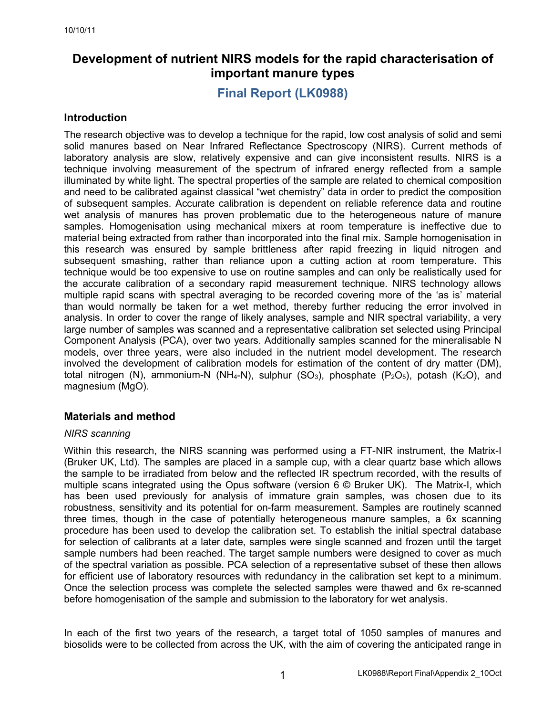# **Development of nutrient NIRS models for the rapid characterisation of important manure types**

**Final Report (LK0988)**

## **Introduction**

The research objective was to develop a technique for the rapid, low cost analysis of solid and semi solid manures based on Near Infrared Reflectance Spectroscopy (NIRS). Current methods of laboratory analysis are slow, relatively expensive and can give inconsistent results. NIRS is a technique involving measurement of the spectrum of infrared energy reflected from a sample illuminated by white light. The spectral properties of the sample are related to chemical composition and need to be calibrated against classical "wet chemistry" data in order to predict the composition of subsequent samples. Accurate calibration is dependent on reliable reference data and routine wet analysis of manures has proven problematic due to the heterogeneous nature of manure samples. Homogenisation using mechanical mixers at room temperature is ineffective due to material being extracted from rather than incorporated into the final mix. Sample homogenisation in this research was ensured by sample brittleness after rapid freezing in liquid nitrogen and subsequent smashing, rather than reliance upon a cutting action at room temperature. This technique would be too expensive to use on routine samples and can only be realistically used for the accurate calibration of a secondary rapid measurement technique. NIRS technology allows multiple rapid scans with spectral averaging to be recorded covering more of the 'as is' material than would normally be taken for a wet method, thereby further reducing the error involved in analysis. In order to cover the range of likely analyses, sample and NIR spectral variability, a very large number of samples was scanned and a representative calibration set selected using Principal Component Analysis (PCA), over two years. Additionally samples scanned for the mineralisable N models, over three years, were also included in the nutrient model development. The research involved the development of calibration models for estimation of the content of dry matter (DM), total nitrogen (N), ammonium-N (NH<sub>4</sub>-N), sulphur (SO<sub>3</sub>), phosphate (P<sub>2</sub>O<sub>5</sub>), potash (K<sub>2</sub>O), and magnesium (MgO).

# **Materials and method**

## *NIRS scanning*

Within this research, the NIRS scanning was performed using a FT-NIR instrument, the Matrix-I (Bruker UK, Ltd). The samples are placed in a sample cup, with a clear quartz base which allows the sample to be irradiated from below and the reflected IR spectrum recorded, with the results of multiple scans integrated using the Opus software (version 6 © Bruker UK). The Matrix-I, which has been used previously for analysis of immature grain samples, was chosen due to its robustness, sensitivity and its potential for on-farm measurement. Samples are routinely scanned three times, though in the case of potentially heterogeneous manure samples, a 6x scanning procedure has been used to develop the calibration set. To establish the initial spectral database for selection of calibrants at a later date, samples were single scanned and frozen until the target sample numbers had been reached. The target sample numbers were designed to cover as much of the spectral variation as possible. PCA selection of a representative subset of these then allows for efficient use of laboratory resources with redundancy in the calibration set kept to a minimum. Once the selection process was complete the selected samples were thawed and 6x re-scanned before homogenisation of the sample and submission to the laboratory for wet analysis.

In each of the first two years of the research, a target total of 1050 samples of manures and biosolids were to be collected from across the UK, with the aim of covering the anticipated range in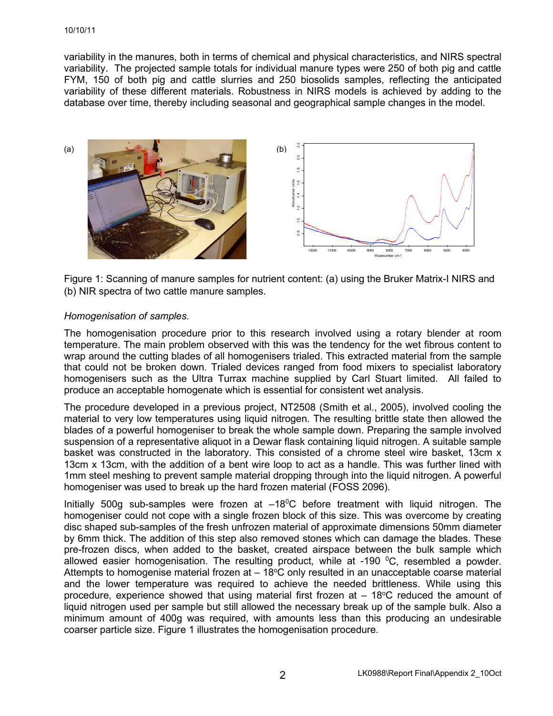#### 10/10/11

variability in the manures, both in terms of chemical and physical characteristics, and NIRS spectral variability. The projected sample totals for individual manure types were 250 of both pig and cattle FYM, 150 of both pig and cattle slurries and 250 biosolids samples, reflecting the anticipated variability of these different materials. Robustness in NIRS models is achieved by adding to the database over time, thereby including seasonal and geographical sample changes in the model.



Figure 1: Scanning of manure samples for nutrient content: (a) using the Bruker Matrix-I NIRS and (b) NIR spectra of two cattle manure samples.

## *Homogenisation of samples.*

The homogenisation procedure prior to this research involved using a rotary blender at room temperature. The main problem observed with this was the tendency for the wet fibrous content to wrap around the cutting blades of all homogenisers trialed. This extracted material from the sample that could not be broken down. Trialed devices ranged from food mixers to specialist laboratory homogenisers such as the Ultra Turrax machine supplied by Carl Stuart limited. All failed to produce an acceptable homogenate which is essential for consistent wet analysis.

The procedure developed in a previous project, NT2508 (Smith et al., 2005), involved cooling the material to very low temperatures using liquid nitrogen. The resulting brittle state then allowed the blades of a powerful homogeniser to break the whole sample down. Preparing the sample involved suspension of a representative aliquot in a Dewar flask containing liquid nitrogen. A suitable sample basket was constructed in the laboratory. This consisted of a chrome steel wire basket, 13cm x 13cm x 13cm, with the addition of a bent wire loop to act as a handle. This was further lined with 1mm steel meshing to prevent sample material dropping through into the liquid nitrogen. A powerful homogeniser was used to break up the hard frozen material (FOSS 2096).

Initially 500g sub-samples were frozen at  $-18^{\circ}$ C before treatment with liquid nitrogen. The homogeniser could not cope with a single frozen block of this size. This was overcome by creating disc shaped sub-samples of the fresh unfrozen material of approximate dimensions 50mm diameter by 6mm thick. The addition of this step also removed stones which can damage the blades. These pre-frozen discs, when added to the basket, created airspace between the bulk sample which allowed easier homogenisation. The resulting product, while at -190 <sup>o</sup>C, resembled a powder. Attempts to homogenise material frozen at - 18°C only resulted in an unacceptable coarse material and the lower temperature was required to achieve the needed brittleness. While using this procedure, experience showed that using material first frozen at  $-18^{\circ}$ C reduced the amount of liquid nitrogen used per sample but still allowed the necessary break up of the sample bulk. Also a minimum amount of 400g was required, with amounts less than this producing an undesirable coarser particle size. Figure 1 illustrates the homogenisation procedure.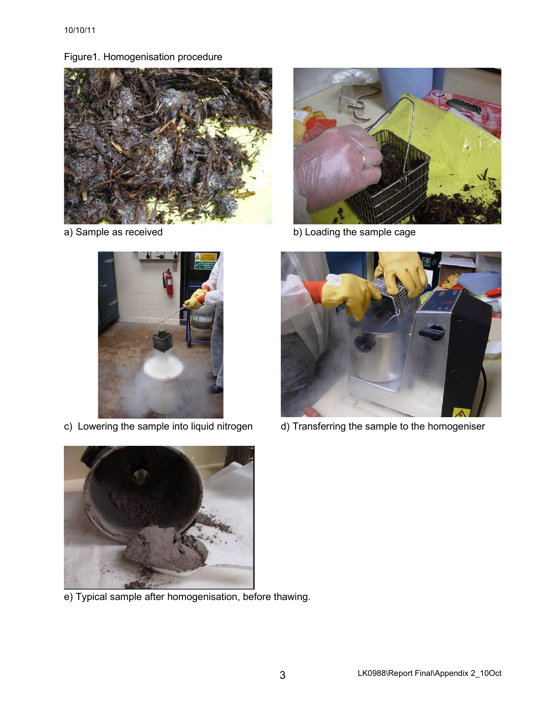Figure1. Homogenisation procedure







a) Sample as received **b**) Loading the sample cage



c) Lowering the sample into liquid nitrogen d) Transferring the sample to the homogeniser



e) Typical sample after homogenisation, before thawing.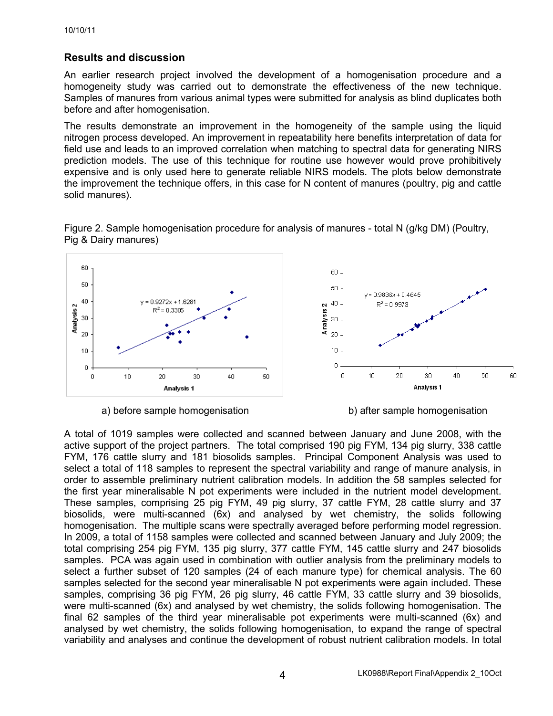# **Results and discussion**

An earlier research project involved the development of a homogenisation procedure and a homogeneity study was carried out to demonstrate the effectiveness of the new technique. Samples of manures from various animal types were submitted for analysis as blind duplicates both before and after homogenisation.

The results demonstrate an improvement in the homogeneity of the sample using the liquid nitrogen process developed. An improvement in repeatability here benefits interpretation of data for field use and leads to an improved correlation when matching to spectral data for generating NIRS prediction models. The use of this technique for routine use however would prove prohibitively expensive and is only used here to generate reliable NIRS models. The plots below demonstrate the improvement the technique offers, in this case for N content of manures (poultry, pig and cattle solid manures).



Figure 2. Sample homogenisation procedure for analysis of manures - total N (g/kg DM) (Poultry, Pig & Dairy manures)

a) before sample homogenisation b) after sample homogenisation

A total of 1019 samples were collected and scanned between January and June 2008, with the active support of the project partners. The total comprised 190 pig FYM, 134 pig slurry, 338 cattle FYM, 176 cattle slurry and 181 biosolids samples. Principal Component Analysis was used to select a total of 118 samples to represent the spectral variability and range of manure analysis, in order to assemble preliminary nutrient calibration models. In addition the 58 samples selected for the first year mineralisable N pot experiments were included in the nutrient model development. These samples, comprising 25 pig FYM, 49 pig slurry, 37 cattle FYM, 28 cattle slurry and 37 biosolids, were multi-scanned (6x) and analysed by wet chemistry, the solids following homogenisation. The multiple scans were spectrally averaged before performing model regression. In 2009, a total of 1158 samples were collected and scanned between January and July 2009; the total comprising 254 pig FYM, 135 pig slurry, 377 cattle FYM, 145 cattle slurry and 247 biosolids samples. PCA was again used in combination with outlier analysis from the preliminary models to select a further subset of 120 samples (24 of each manure type) for chemical analysis. The 60 samples selected for the second year mineralisable N pot experiments were again included. These samples, comprising 36 pig FYM, 26 pig slurry, 46 cattle FYM, 33 cattle slurry and 39 biosolids, were multi-scanned (6x) and analysed by wet chemistry, the solids following homogenisation. The final 62 samples of the third year mineralisable pot experiments were multi-scanned (6x) and analysed by wet chemistry, the solids following homogenisation, to expand the range of spectral variability and analyses and continue the development of robust nutrient calibration models. In total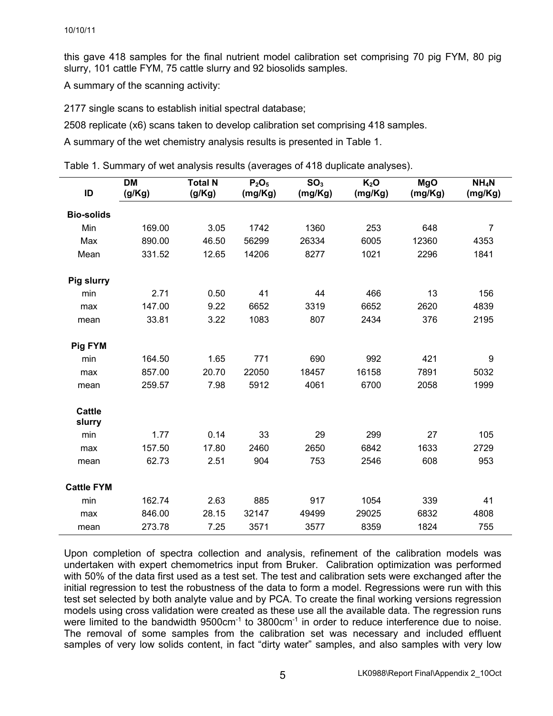this gave 418 samples for the final nutrient model calibration set comprising 70 pig FYM, 80 pig slurry, 101 cattle FYM, 75 cattle slurry and 92 biosolids samples.

A summary of the scanning activity:

2177 single scans to establish initial spectral database;

2508 replicate (x6) scans taken to develop calibration set comprising 418 samples.

A summary of the wet chemistry analysis results is presented in Table 1.

Table 1. Summary of wet analysis results (averages of 418 duplicate analyses).

| ID                      | <b>DM</b><br>(g/Kg) | <b>Total N</b><br>(g/Kg) | P <sub>2</sub> O <sub>5</sub><br>(mg/Kg) | SO <sub>3</sub><br>(mg/Kg) | K <sub>2</sub> O<br>(mg/Kg) | <b>MgO</b><br>(mg/Kg) | NH <sub>4</sub> N<br>(mg/Kg) |
|-------------------------|---------------------|--------------------------|------------------------------------------|----------------------------|-----------------------------|-----------------------|------------------------------|
| <b>Bio-solids</b>       |                     |                          |                                          |                            |                             |                       |                              |
| Min                     | 169.00              | 3.05                     | 1742                                     | 1360                       | 253                         | 648                   | $\overline{7}$               |
| Max                     | 890.00              | 46.50                    | 56299                                    | 26334                      | 6005                        | 12360                 | 4353                         |
| Mean                    | 331.52              | 12.65                    | 14206                                    | 8277                       | 1021                        | 2296                  | 1841                         |
| <b>Pig slurry</b>       |                     |                          |                                          |                            |                             |                       |                              |
| min                     | 2.71                | 0.50                     | 41                                       | 44                         | 466                         | 13                    | 156                          |
| max                     | 147.00              | 9.22                     | 6652                                     | 3319                       | 6652                        | 2620                  | 4839                         |
| mean                    | 33.81               | 3.22                     | 1083                                     | 807                        | 2434                        | 376                   | 2195                         |
| <b>Pig FYM</b>          |                     |                          |                                          |                            |                             |                       |                              |
| min                     | 164.50              | 1.65                     | 771                                      | 690                        | 992                         | 421                   | 9                            |
| max                     | 857.00              | 20.70                    | 22050                                    | 18457                      | 16158                       | 7891                  | 5032                         |
| mean                    | 259.57              | 7.98                     | 5912                                     | 4061                       | 6700                        | 2058                  | 1999                         |
| <b>Cattle</b><br>slurry |                     |                          |                                          |                            |                             |                       |                              |
| min                     | 1.77                | 0.14                     | 33                                       | 29                         | 299                         | 27                    | 105                          |
| max                     | 157.50              | 17.80                    | 2460                                     | 2650                       | 6842                        | 1633                  | 2729                         |
| mean                    | 62.73               | 2.51                     | 904                                      | 753                        | 2546                        | 608                   | 953                          |
| <b>Cattle FYM</b>       |                     |                          |                                          |                            |                             |                       |                              |
| min                     | 162.74              | 2.63                     | 885                                      | 917                        | 1054                        | 339                   | 41                           |
| max                     | 846.00              | 28.15                    | 32147                                    | 49499                      | 29025                       | 6832                  | 4808                         |
| mean                    | 273.78              | 7.25                     | 3571                                     | 3577                       | 8359                        | 1824                  | 755                          |

Upon completion of spectra collection and analysis, refinement of the calibration models was undertaken with expert chemometrics input from Bruker. Calibration optimization was performed with 50% of the data first used as a test set. The test and calibration sets were exchanged after the initial regression to test the robustness of the data to form a model. Regressions were run with this test set selected by both analyte value and by PCA. To create the final working versions regression models using cross validation were created as these use all the available data. The regression runs were limited to the bandwidth 9500cm<sup>-1</sup> to 3800cm<sup>-1</sup> in order to reduce interference due to noise. The removal of some samples from the calibration set was necessary and included effluent samples of very low solids content, in fact "dirty water" samples, and also samples with very low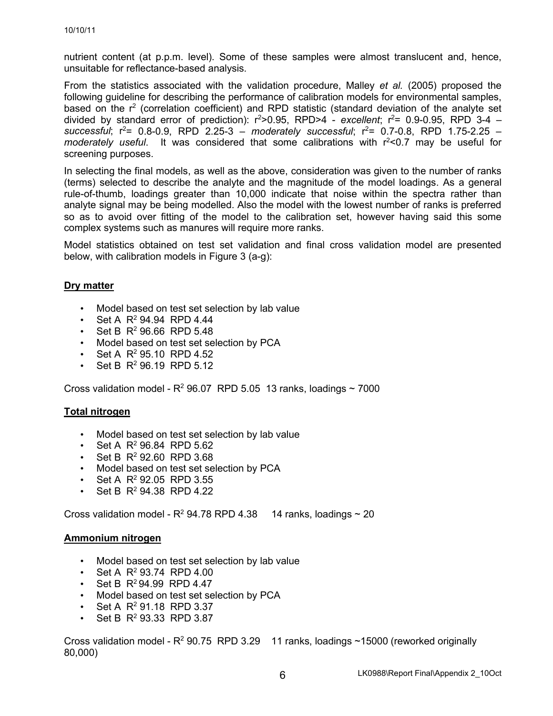nutrient content (at p.p.m. level). Some of these samples were almost translucent and, hence, unsuitable for reflectance-based analysis.

From the statistics associated with the validation procedure, Malley *et al.* (2005) proposed the following guideline for describing the performance of calibration models for environmental samples, based on the  $r^2$  (correlation coefficient) and RPD statistic (standard deviation of the analyte set divided by standard error of prediction): r<sup>2</sup>>0.95, RPD>4 - *excellent*; r<sup>2</sup>= 0.9-0.95, RPD 3-4 – successful;  $r^2$ = 0.8-0.9, RPD 2.25-3 – *moderately successful*;  $r^2$ = 0.7-0.8, RPD 1.75-2.25 – moderately useful. It was considered that some calibrations with r<sup>2</sup><0.7 may be useful for screening purposes.

In selecting the final models, as well as the above, consideration was given to the number of ranks (terms) selected to describe the analyte and the magnitude of the model loadings. As a general rule-of-thumb, loadings greater than 10,000 indicate that noise within the spectra rather than analyte signal may be being modelled. Also the model with the lowest number of ranks is preferred so as to avoid over fitting of the model to the calibration set, however having said this some complex systems such as manures will require more ranks.

Model statistics obtained on test set validation and final cross validation model are presented below, with calibration models in Figure 3 (a-g):

## **Dry matter**

- Model based on test set selection by lab value
- Set A  $R^2$  94.94 RPD 4.44
- Set B  $R^2$  96.66 RPD 5.48
- Model based on test set selection by PCA
- Set A  $R^2$  95.10 RPD 4.52
- Set B  $R^2$  96.19 RPD 5.12

Cross validation model -  $R^2$  96.07 RPD 5.05 13 ranks, loadings  $\sim$  7000

## **Total nitrogen**

- Model based on test set selection by lab value
- Set A  $R^2$  96.84 RPD 5.62
- Set B  $R^2$  92.60 RPD 3.68
- Model based on test set selection by PCA
- Set A  $R^2$  92.05 RPD 3.55
- Set B  $R^2$  94.38 RPD 4.22

Cross validation model -  $R^2$  94.78 RPD 4.38 14 ranks, loadings  $\sim$  20

#### **Ammonium nitrogen**

- Model based on test set selection by lab value
- Set A  $R^2$  93.74 RPD 4.00
- Set B  $R^2$ 94.99 RPD 4.47
- Model based on test set selection by PCA
- Set A  $R^2$  91.18 RPD 3.37
- Set B R<sup>2</sup> 93.33 RPD 3.87

Cross validation model -  $R^2$  90.75 RPD 3.29 11 ranks, loadings ~15000 (reworked originally 80,000)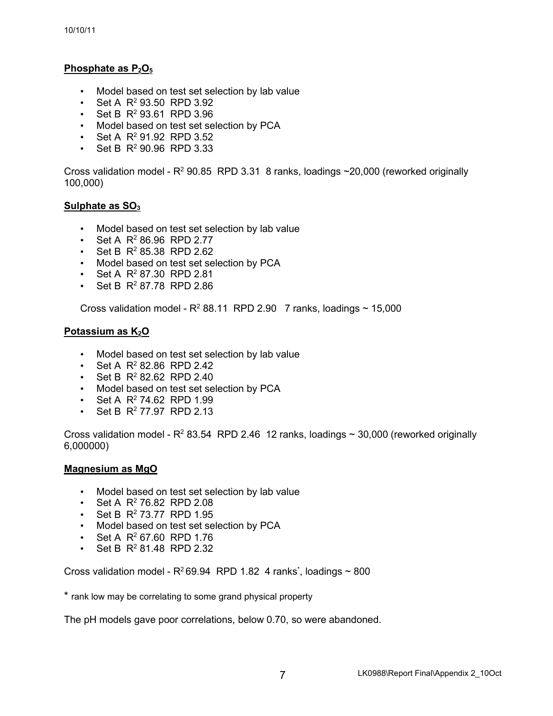## **Phosphate as P2O5**

- Model based on test set selection by lab value
- Set A  $R^2$  93.50 RPD 3.92
- Set B  $R^2$  93.61 RPD 3.96
- Model based on test set selection by PCA
- Set A  $R^2$  91.92 RPD 3.52
- Set B  $R^2$  90.96 RPD 3.33

Cross validation model -  $R^2$  90.85 RPD 3.31 8 ranks, loadings  $\sim$  20,000 (reworked originally 100,000)

## Sulphate as SO<sub>3</sub>

- Model based on test set selection by lab value
- Set A  $R^2$  86.96 RPD 2.77
- Set B  $R^2$  85.38 RPD 2.62
- Model based on test set selection by PCA
- Set A  $R^2$  87.30 RPD 2.81
- Set B  $R^2$  87.78 RPD 2.86

Cross validation model -  $R^2$  88.11 RPD 2.90 7 ranks, loadings  $\sim$  15,000

## **Potassium as K2O**

- Model based on test set selection by lab value
- Set A  $R^2$  82.86 RPD 2.42
- Set B  $R^2$  82.62 RPD 2.40
- Model based on test set selection by PCA
- Set A  $R^2$  74.62 RPD 1.99
- Set B  $R^2$  77.97 RPD 2.13

Cross validation model -  $R^2$  83.54 RPD 2.46 12 ranks, loadings  $\sim$  30,000 (reworked originally 6,000000)

#### **Magnesium as MgO**

- Model based on test set selection by lab value
- Set A  $R^2$  76.82 RPD 2.08
- Set B  $R^2$  73.77 RPD 1.95
- Model based on test set selection by PCA
- Set A  $R^2$  67.60 RPD 1.76
- Set B  $R^2$  81.48 RPD 2.32

Cross validation model -  $R^2$ 69.94 RPD 1.82 4 ranks<sup>\*</sup>, loadings ~ 800

\* rank low may be correlating to some grand physical property

The pH models gave poor correlations, below 0.70, so were abandoned.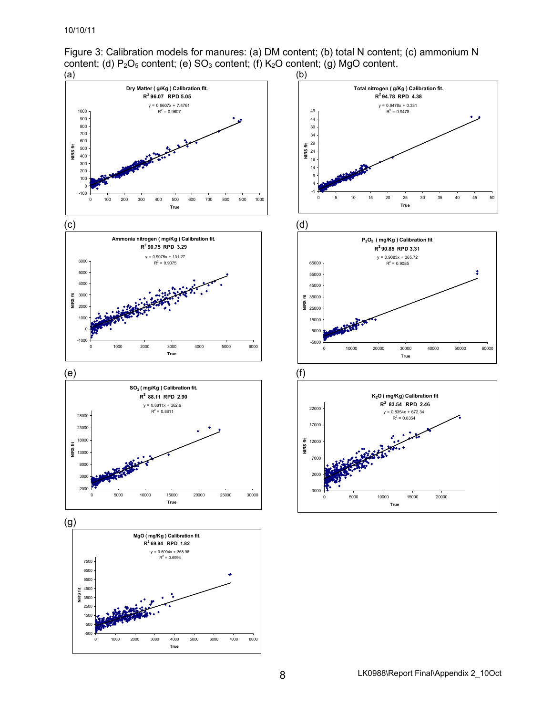Figure 3: Calibration models for manures: (a) DM content; (b) total N content; (c) ammonium N content; (d) P<sub>2</sub>O<sub>5</sub> content; (e) SO<sub>3</sub> content; (f) K<sub>2</sub>O content; (g) MgO content.<br>(a) (b)